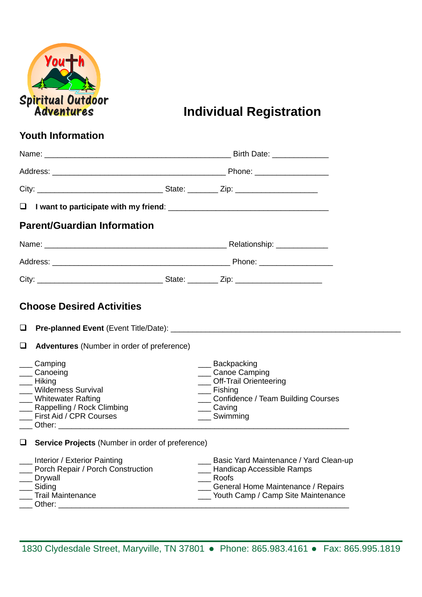

**Individual Registration** 

## **Youth Information**

|        |                                                                                                                                                                                                                                             |  | Birth Date: <u>______________</u>                                                                                                                                      |  |
|--------|---------------------------------------------------------------------------------------------------------------------------------------------------------------------------------------------------------------------------------------------|--|------------------------------------------------------------------------------------------------------------------------------------------------------------------------|--|
|        |                                                                                                                                                                                                                                             |  |                                                                                                                                                                        |  |
|        |                                                                                                                                                                                                                                             |  |                                                                                                                                                                        |  |
|        |                                                                                                                                                                                                                                             |  |                                                                                                                                                                        |  |
|        | <b>Parent/Guardian Information</b>                                                                                                                                                                                                          |  |                                                                                                                                                                        |  |
|        |                                                                                                                                                                                                                                             |  |                                                                                                                                                                        |  |
|        |                                                                                                                                                                                                                                             |  |                                                                                                                                                                        |  |
|        |                                                                                                                                                                                                                                             |  |                                                                                                                                                                        |  |
|        | <b>Choose Desired Activities</b>                                                                                                                                                                                                            |  |                                                                                                                                                                        |  |
| $\Box$ |                                                                                                                                                                                                                                             |  |                                                                                                                                                                        |  |
| $\Box$ | Adventures (Number in order of preference)                                                                                                                                                                                                  |  |                                                                                                                                                                        |  |
|        | Camping<br>Canoeing<br>Hiking<br><b>Wilderness Survival</b><br><b>Whitewater Rafting</b><br>Rappelling / Rock Climbing<br>First Aid / CPR Courses                                                                                           |  | __ Backpacking<br><b>Canoe Camping</b><br>__ Off-Trail Orienteering<br>__ Fishing<br><b>Confidence / Team Building Courses</b><br>$\equiv$ Caving<br>___ Swimming      |  |
|        | Service Projects (Number in order of preference)                                                                                                                                                                                            |  |                                                                                                                                                                        |  |
|        | Interior / Exterior Painting<br>Porch Repair / Porch Construction<br><b>Drywall</b><br>Siding<br><b>Trail Maintenance</b><br>Other: and the contract of the contract of the contract of the contract of the contract of the contract of the |  | Basic Yard Maintenance / Yard Clean-up<br>__ Handicap Accessible Ramps<br>Roofs<br><b>Seneral Home Maintenance / Repairs</b><br>___ Youth Camp / Camp Site Maintenance |  |